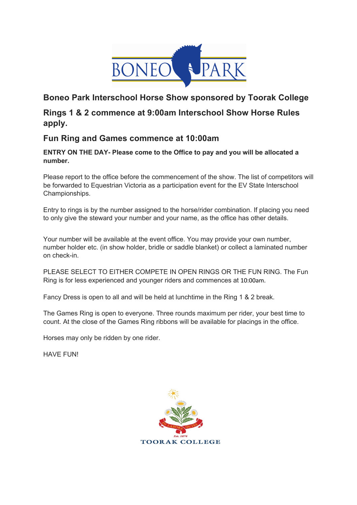

## **Boneo Park Interschool Horse Show sponsored by Toorak College**

### **Rings 1 & 2 commence at 9:00am Interschool Show Horse Rules apply.**

#### **Fun Ring and Games commence at 10:00am**

**ENTRY ON THE DAY- Please come to the Office to pay and you will be allocated a number.**

Please report to the office before the commencement of the show. The list of competitors will be forwarded to Equestrian Victoria as a participation event for the EV State Interschool Championships.

Entry to rings is by the number assigned to the horse/rider combination. If placing you need to only give the steward your number and your name, as the office has other details.

Your number will be available at the event office. You may provide your own number, number holder etc. (in show holder, bridle or saddle blanket) or collect a laminated number on check-in.

PLEASE SELECT TO EITHER COMPETE IN OPEN RINGS OR THE FUN RING. The Fun Ring is for less experienced and younger riders and commences at 10:00am.

Fancy Dress is open to all and will be held at lunchtime in the Ring 1 & 2 break.

The Games Ring is open to everyone. Three rounds maximum per rider, your best time to count. At the close of the Games Ring ribbons will be available for placings in the office.

Horses may only be ridden by one rider.

HAVE FUN!

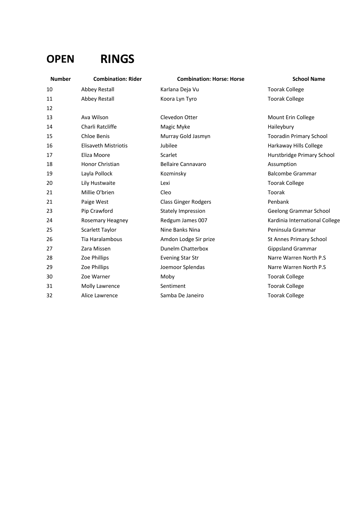# **OPEN RINGS**

| <b>Number</b> | <b>Combination: Rider</b>   | <b>Combination: Horse: Horse</b> | <b>School Name</b>             |
|---------------|-----------------------------|----------------------------------|--------------------------------|
| 10            | <b>Abbey Restall</b>        | Karlana Deja Vu                  | <b>Toorak College</b>          |
| 11            | <b>Abbey Restall</b>        | Koora Lyn Tyro                   | <b>Toorak College</b>          |
| 12            |                             |                                  |                                |
| 13            | Ava Wilson                  | Clevedon Otter                   | Mount Erin College             |
| 14            | Charli Ratcliffe            | Magic Myke                       | Haileybury                     |
| 15            | Chloe Benis                 | Murray Gold Jasmyn               | <b>Tooradin Primary School</b> |
| 16            | <b>Elisaveth Mistriotis</b> | Jubilee                          | Harkaway Hills College         |
| 17            | Eliza Moore                 | Scarlet                          | Hurstbridge Primary School     |
| 18            | Honor Christian             | <b>Bellaire Cannavaro</b>        | Assumption                     |
| 19            | Layla Pollock               | Kozminsky                        | <b>Balcombe Grammar</b>        |
| 20            | Lily Hustwaite              | Lexi                             | <b>Toorak College</b>          |
| 21            | Millie O'brien              | Cleo                             | Toorak                         |
| 21            | Paige West                  | <b>Class Ginger Rodgers</b>      | Penbank                        |
| 23            | Pip Crawford                | Stately Impression               | <b>Geelong Grammar School</b>  |
| 24            | Rosemary Heagney            | Redgum James 007                 | Kardinia International College |
| 25            | Scarlett Taylor             | Nine Banks Nina                  | Peninsula Grammar              |
| 26            | <b>Tia Haralambous</b>      | Amdon Lodge Sir prize            | St Annes Primary School        |
| 27            | Zara Missen                 | Dunelm Chatterbox                | <b>Gippsland Grammar</b>       |
| 28            | Zoe Phillips                | <b>Evening Star Str</b>          | Narre Warren North P.S         |
| 29            | Zoe Phillips                | Joemoor Splendas                 | Narre Warren North P.S.        |
| 30            | Zoe Warner                  | Moby                             | <b>Toorak College</b>          |
| 31            | Molly Lawrence              | Sentiment                        | <b>Toorak College</b>          |
| 32            | Alice Lawrence              | Samba De Janeiro                 | <b>Toorak College</b>          |
|               |                             |                                  |                                |